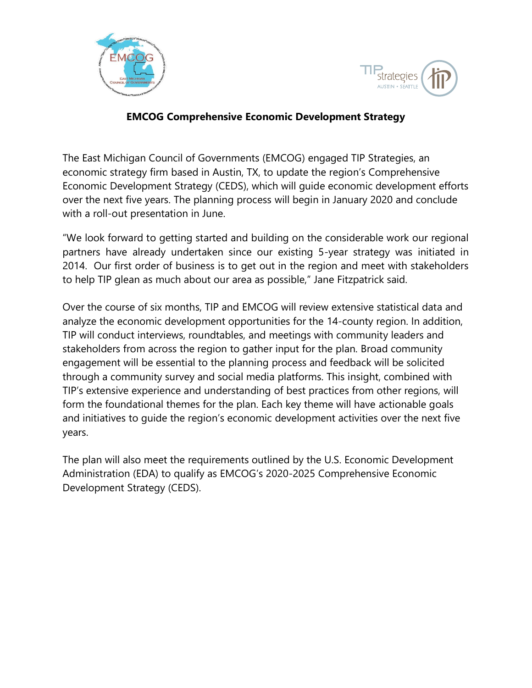



## **EMCOG Comprehensive Economic Development Strategy**

The East Michigan Council of Governments (EMCOG) engaged TIP Strategies, an economic strategy firm based in Austin, TX, to update the region's Comprehensive Economic Development Strategy (CEDS), which will guide economic development efforts over the next five years. The planning process will begin in January 2020 and conclude with a roll-out presentation in June.

"We look forward to getting started and building on the considerable work our regional partners have already undertaken since our existing 5-year strategy was initiated in 2014. Our first order of business is to get out in the region and meet with stakeholders to help TIP glean as much about our area as possible," Jane Fitzpatrick said.

Over the course of six months, TIP and EMCOG will review extensive statistical data and analyze the economic development opportunities for the 14-county region. In addition, TIP will conduct interviews, roundtables, and meetings with community leaders and stakeholders from across the region to gather input for the plan. Broad community engagement will be essential to the planning process and feedback will be solicited through a community survey and social media platforms. This insight, combined with TIP's extensive experience and understanding of best practices from other regions, will form the foundational themes for the plan. Each key theme will have actionable goals and initiatives to guide the region's economic development activities over the next five years.

The plan will also meet the requirements outlined by the U.S. Economic Development Administration (EDA) to qualify as EMCOG's 2020-2025 Comprehensive Economic Development Strategy (CEDS).